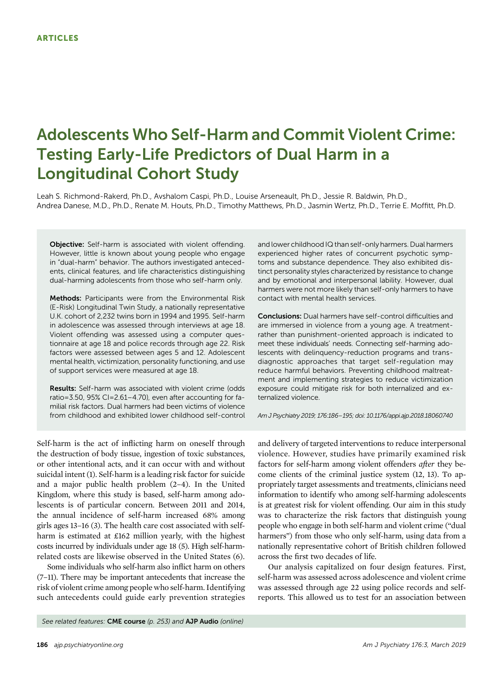# Adolescents Who Self-Harm and Commit Violent Crime: Testing Early-Life Predictors of Dual Harm in a Longitudinal Cohort Study

Leah S. Richmond-Rakerd, Ph.D., Avshalom Caspi, Ph.D., Louise Arseneault, Ph.D., Jessie R. Baldwin, Ph.D., Andrea Danese, M.D., Ph.D., Renate M. Houts, Ph.D., Timothy Matthews, Ph.D., Jasmin Wertz, Ph.D., Terrie E. Moffitt, Ph.D.

Objective: Self-harm is associated with violent offending. However, little is known about young people who engage in "dual-harm" behavior. The authors investigated antecedents, clinical features, and life characteristics distinguishing dual-harming adolescents from those who self-harm only.

Methods: Participants were from the Environmental Risk (E-Risk) Longitudinal Twin Study, a nationally representative U.K. cohort of 2,232 twins born in 1994 and 1995. Self-harm in adolescence was assessed through interviews at age 18. Violent offending was assessed using a computer questionnaire at age 18 and police records through age 22. Risk factors were assessed between ages 5 and 12. Adolescent mental health, victimization, personality functioning, and use of support services were measured at age 18.

Results: Self-harm was associated with violent crime (odds ratio=3.50, 95% CI=2.61–4.70), even after accounting for familial risk factors. Dual harmers had been victims of violence from childhood and exhibited lower childhood self-control

Self-harm is the act of inflicting harm on oneself through the destruction of body tissue, ingestion of toxic substances, or other intentional acts, and it can occur with and without suicidal intent (1). Self-harm is a leading risk factor for suicide and a major public health problem (2–4). In the United Kingdom, where this study is based, self-harm among adolescents is of particular concern. Between 2011 and 2014, the annual incidence of self-harm increased 68% among girls ages 13–16 (3). The health care cost associated with selfharm is estimated at £162 million yearly, with the highest costs incurred by individuals under age 18 (5). High self-harmrelated costs are likewise observed in the United States (6).

Some individuals who self-harm also inflict harm on others (7–11). There may be important antecedents that increase the risk of violent crime among people who self-harm. Identifying such antecedents could guide early prevention strategies and lower childhood IQ than self-only harmers. Dual harmers experienced higher rates of concurrent psychotic symptoms and substance dependence. They also exhibited distinct personality styles characterized by resistance to change and by emotional and interpersonal lability. However, dual harmers were not more likely than self-only harmers to have contact with mental health services.

Conclusions: Dual harmers have self-control difficulties and are immersed in violence from a young age. A treatmentrather than punishment-oriented approach is indicated to meet these individuals' needs. Connecting self-harming adolescents with delinquency-reduction programs and transdiagnostic approaches that target self-regulation may reduce harmful behaviors. Preventing childhood maltreatment and implementing strategies to reduce victimization exposure could mitigate risk for both internalized and externalized violence.

Am J Psychiatry 2019; 176:186–195; doi: 10.1176/appi.ajp.2018.18060740

and delivery of targeted interventions to reduce interpersonal violence. However, studies have primarily examined risk factors for self-harm among violent offenders after they become clients of the criminal justice system (12, 13). To appropriately target assessments and treatments, clinicians need information to identify who among self-harming adolescents is at greatest risk for violent offending. Our aim in this study was to characterize the risk factors that distinguish young people who engage in both self-harm and violent crime ("dual harmers") from those who only self-harm, using data from a nationally representative cohort of British children followed across the first two decades of life.

Our analysis capitalized on four design features. First, self-harm was assessed across adolescence and violent crime was assessed through age 22 using police records and selfreports. This allowed us to test for an association between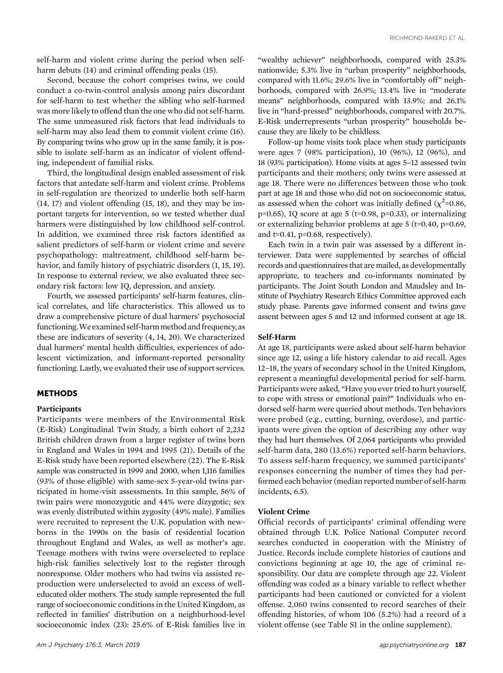self-harm and violent crime during the period when selfharm debuts (14) and criminal offending peaks (15).

Second, because the cohort comprises twins, we could conduct a co-twin-control analysis among pairs discordant for self-harm to test whether the sibling who self-harmed was more likely to offend than the one who did not self-harm. The same unmeasured risk factors that lead individuals to self-harm may also lead them to commit violent crime (16). By comparing twins who grow up in the same family, it is possible to isolate self-harm as an indicator of violent offending, independent of familial risks.

Third, the longitudinal design enabled assessment of risk factors that antedate self-harm and violent crime. Problems in self-regulation are theorized to underlie both self-harm (14, 17) and violent offending (15, 18), and they may be important targets for intervention, so we tested whether dual harmers were distinguished by low childhood self-control. In addition, we examined three risk factors identified as salient predictors of self-harm or violent crime and severe psychopathology: maltreatment, childhood self-harm behavior, and family history of psychiatric disorders (1, 15, 19). In response to external review, we also evaluated three secondary risk factors: low IQ, depression, and anxiety.

Fourth, we assessed participants' self-harm features, clinical correlates, and life characteristics. This allowed us to draw a comprehensive picture of dual harmers' psychosocial functioning. We examined self-harm method and frequency, as these are indicators of severity (4, 14, 20). We characterized dual harmers' mental health difficulties, experiences of adolescent victimization, and informant-reported personality functioning. Lastly, we evaluated their use of support services.

# **METHODS**

### Participants

Participants were members of the Environmental Risk (E-Risk) Longitudinal Twin Study, a birth cohort of 2,232 British children drawn from a larger register of twins born in England and Wales in 1994 and 1995 (21). Details of the E-Risk study have been reported elsewhere (22). The E-Risk sample was constructed in 1999 and 2000, when 1,116 families (93% of those eligible) with same-sex 5-year-old twins participated in home-visit assessments. In this sample, 56% of twin pairs were monozygotic and 44% were dizygotic; sex was evenly distributed within zygosity (49% male). Families were recruited to represent the U.K. population with newborns in the 1990s on the basis of residential location throughout England and Wales, as well as mother's age. Teenage mothers with twins were overselected to replace high-risk families selectively lost to the register through nonresponse. Older mothers who had twins via assisted reproduction were underselected to avoid an excess of welleducated older mothers. The study sample represented the full range of socioeconomic conditions in the United Kingdom, as reflected in families' distribution on a neighborhood-level socioeconomic index (23): 25.6% of E-Risk families live in

"wealthy achiever" neighborhoods, compared with 25.3% nationwide; 5.3% live in "urban prosperity" neighborhoods, compared with 11.6%; 29.6% live in "comfortably off" neighborhoods, compared with 26.9%; 13.4% live in "moderate means" neighborhoods, compared with 13.9%; and 26.1% live in "hard-pressed" neighborhoods, compared with 20.7%. E-Risk underrepresents "urban prosperity" households because they are likely to be childless.

Follow-up home visits took place when study participants were ages 7 (98% participation), 10 (96%), 12 (96%), and 18 (93% participation). Home visits at ages 5–12 assessed twin participants and their mothers; only twins were assessed at age 18. There were no differences between those who took part at age 18 and those who did not on socioeconomic status, as assessed when the cohort was initially defined  $(\chi^2=0.86,$  $p=0.65$ ), IQ score at age 5 (t=0.98,  $p=0.33$ ), or internalizing or externalizing behavior problems at age 5 (t=0.40, p=0.69, and t=0.41, p=0.68, respectively).

Each twin in a twin pair was assessed by a different interviewer. Data were supplemented by searches of official records and questionnaires that are mailed, as developmentally appropriate, to teachers and co-informants nominated by participants. The Joint South London and Maudsley and Institute of Psychiatry Research Ethics Committee approved each study phase. Parents gave informed consent and twins gave assent between ages 5 and 12 and informed consent at age 18.

#### Self-Harm

At age 18, participants were asked about self-harm behavior since age 12, using a life history calendar to aid recall. Ages 12–18, the years of secondary school in the United Kingdom, represent a meaningful developmental period for self-harm. Participants were asked, "Have you ever tried to hurt yourself, to cope with stress or emotional pain?" Individuals who endorsed self-harm were queried about methods. Ten behaviors were probed (e.g., cutting, burning, overdose), and participants were given the option of describing any other way they had hurt themselves. Of 2,064 participants who provided self-harm data, 280 (13.6%) reported self-harm behaviors. To assess self-harm frequency, we summed participants' responses concerning the number of times they had performed each behavior (median reported number of self-harm incidents, 6.5).

#### Violent Crime

Official records of participants' criminal offending were obtained through U.K. Police National Computer record searches conducted in cooperation with the Ministry of Justice. Records include complete histories of cautions and convictions beginning at age 10, the age of criminal responsibility. Our data are complete through age 22. Violent offending was coded as a binary variable to reflect whether participants had been cautioned or convicted for a violent offense. 2,060 twins consented to record searches of their offending histories, of whom 106 (5.2%) had a record of a violent offense (see Table S1 in the online supplement).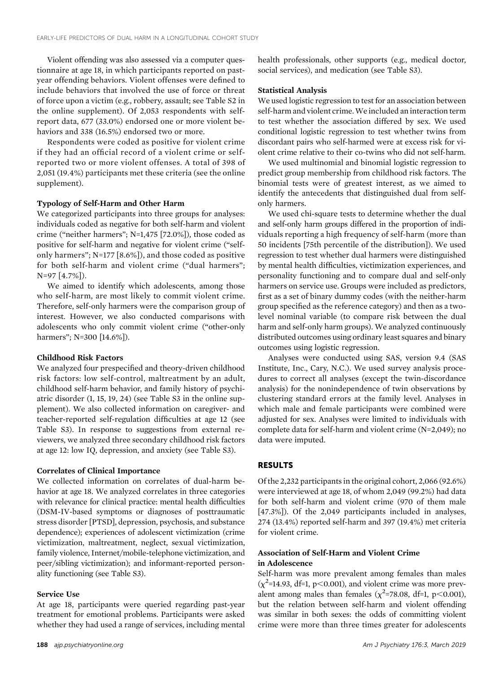Violent offending was also assessed via a computer questionnaire at age 18, in which participants reported on pastyear offending behaviors. Violent offenses were defined to include behaviors that involved the use of force or threat of force upon a victim (e.g., robbery, assault; see Table S2 in the online supplement). Of 2,053 respondents with selfreport data, 677 (33.0%) endorsed one or more violent behaviors and 338 (16.5%) endorsed two or more.

Respondents were coded as positive for violent crime if they had an official record of a violent crime or selfreported two or more violent offenses. A total of 398 of 2,051 (19.4%) participants met these criteria (see the online supplement).

### Typology of Self-Harm and Other Harm

We categorized participants into three groups for analyses: individuals coded as negative for both self-harm and violent crime ("neither harmers"; N=1,475 [72.0%]), those coded as positive for self-harm and negative for violent crime ("selfonly harmers"; N=177 [8.6%]), and those coded as positive for both self-harm and violent crime ("dual harmers"; N=97 [4.7%]).

We aimed to identify which adolescents, among those who self-harm, are most likely to commit violent crime. Therefore, self-only harmers were the comparison group of interest. However, we also conducted comparisons with adolescents who only commit violent crime ("other-only harmers"; N=300 [14.6%]).

### Childhood Risk Factors

We analyzed four prespecified and theory-driven childhood risk factors: low self-control, maltreatment by an adult, childhood self-harm behavior, and family history of psychiatric disorder (1, 15, 19, 24) (see Table S3 in the online supplement). We also collected information on caregiver- and teacher-reported self-regulation difficulties at age 12 (see Table S3). In response to suggestions from external reviewers, we analyzed three secondary childhood risk factors at age 12: low IQ, depression, and anxiety (see Table S3).

#### Correlates of Clinical Importance

We collected information on correlates of dual-harm behavior at age 18. We analyzed correlates in three categories with relevance for clinical practice: mental health difficulties (DSM-IV-based symptoms or diagnoses of posttraumatic stress disorder [PTSD], depression, psychosis, and substance dependence); experiences of adolescent victimization (crime victimization, maltreatment, neglect, sexual victimization, family violence, Internet/mobile-telephone victimization, and peer/sibling victimization); and informant-reported personality functioning (see Table S3).

### Service Use

At age 18, participants were queried regarding past-year treatment for emotional problems. Participants were asked whether they had used a range of services, including mental health professionals, other supports (e.g., medical doctor, social services), and medication (see Table S3).

### Statistical Analysis

We used logistic regression to test for an association between self-harm and violent crime.We included an interaction term to test whether the association differed by sex. We used conditional logistic regression to test whether twins from discordant pairs who self-harmed were at excess risk for violent crime relative to their co-twins who did not self-harm.

We used multinomial and binomial logistic regression to predict group membership from childhood risk factors. The binomial tests were of greatest interest, as we aimed to identify the antecedents that distinguished dual from selfonly harmers.

We used chi-square tests to determine whether the dual and self-only harm groups differed in the proportion of individuals reporting a high frequency of self-harm (more than 50 incidents [75th percentile of the distribution]). We used regression to test whether dual harmers were distinguished by mental health difficulties, victimization experiences, and personality functioning and to compare dual and self-only harmers on service use. Groups were included as predictors, first as a set of binary dummy codes (with the neither-harm group specified as the reference category) and then as a twolevel nominal variable (to compare risk between the dual harm and self-only harm groups). We analyzed continuously distributed outcomes using ordinary least squares and binary outcomes using logistic regression.

Analyses were conducted using SAS, version 9.4 (SAS Institute, Inc., Cary, N.C.). We used survey analysis procedures to correct all analyses (except the twin-discordance analysis) for the nonindependence of twin observations by clustering standard errors at the family level. Analyses in which male and female participants were combined were adjusted for sex. Analyses were limited to individuals with complete data for self-harm and violent crime (N=2,049); no data were imputed.

### RESULTS

Of the 2,232 participants in the original cohort, 2,066 (92.6%) were interviewed at age 18, of whom 2,049 (99.2%) had data for both self-harm and violent crime (970 of them male [47.3%]). Of the 2,049 participants included in analyses, 274 (13.4%) reported self-harm and 397 (19.4%) met criteria for violent crime.

# Association of Self-Harm and Violent Crime in Adolescence

Self-harm was more prevalent among females than males  $(\chi^2$ =14.93, df=1, p<0.001), and violent crime was more prevalent among males than females  $(\chi^2$ =78.08, df=1, p<0.001), but the relation between self-harm and violent offending was similar in both sexes: the odds of committing violent crime were more than three times greater for adolescents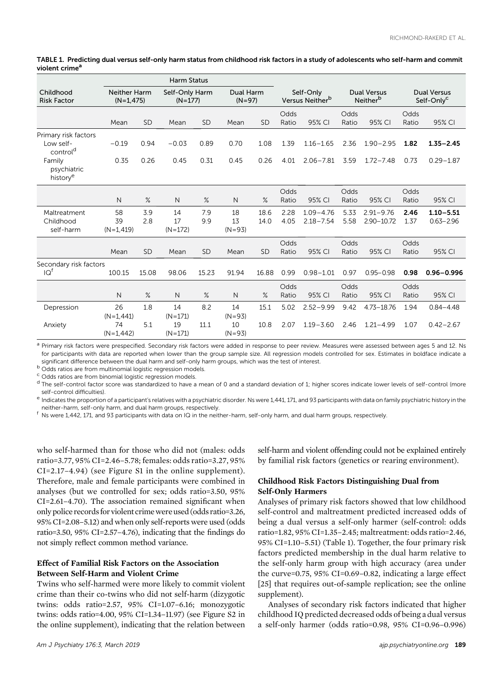| <b>Harm Status</b>                                        |                              |            |                             |            |                        |              |                              |                                |                                            |                                 |                                              |                                |
|-----------------------------------------------------------|------------------------------|------------|-----------------------------|------------|------------------------|--------------|------------------------------|--------------------------------|--------------------------------------------|---------------------------------|----------------------------------------------|--------------------------------|
| Childhood<br><b>Risk Factor</b>                           | Neither Harm<br>$(N=1, 475)$ |            | Self-Only Harm<br>$(N=177)$ |            | Dual Harm<br>$(N=97)$  |              | Self-Only<br>Versus Neitherb |                                | <b>Dual Versus</b><br>Neither <sup>b</sup> |                                 | <b>Dual Versus</b><br>Self-Only <sup>c</sup> |                                |
|                                                           | Mean                         | <b>SD</b>  | Mean                        | <b>SD</b>  | Mean                   | <b>SD</b>    | Odds<br>Ratio                | 95% CI                         | Odds<br>Ratio                              | 95% CI                          | Odds<br>Ratio                                | 95% CI                         |
| Primary risk factors<br>Low self-<br>control <sup>d</sup> | $-0.19$                      | 0.94       | $-0.03$                     | 0.89       | 0.70                   | 1.08         | 1.39                         | $1.16 - 1.65$                  | 2.36                                       | $1.90 - 2.95$                   | 1.82                                         | $1.35 - 2.45$                  |
| Family<br>psychiatric<br>history <sup>e</sup>             | 0.35                         | 0.26       | 0.45                        | 0.31       | 0.45                   | 0.26         | 4.01                         | $2.06 - 7.81$                  | 3.59                                       | $1.72 - 7.48$                   | 0.73                                         | $0.29 - 1.87$                  |
|                                                           | N                            | $\%$       | N                           | $\%$       | N                      | $\%$         | Odds<br>Ratio                | 95% CI                         | Odds<br>Ratio                              | 95% CI                          | Odds<br>Ratio                                | 95% CI                         |
| Maltreatment<br>Childhood<br>self-harm                    | 58<br>39<br>$(N=1, 419)$     | 3.9<br>2.8 | 14<br>17<br>$(N=172)$       | 7.9<br>9.9 | 18<br>13<br>$(N = 93)$ | 18.6<br>14.0 | 2.28<br>4.05                 | $1.09 - 4.76$<br>$2.18 - 7.54$ | 5.33<br>5.58                               | $2.91 - 9.76$<br>$2.90 - 10.72$ | 2.46<br>1.37                                 | $1.10 - 5.51$<br>$0.63 - 2.96$ |
|                                                           | Mean                         | <b>SD</b>  | Mean                        | <b>SD</b>  | Mean                   | <b>SD</b>    | Odds<br>Ratio                | 95% CI                         | Odds<br>Ratio                              | 95% CI                          | Odds<br>Ratio                                | 95% CI                         |
| Secondary risk factors<br>IQ <sup>f</sup>                 | 100.15                       | 15.08      | 98.06                       | 15.23      | 91.94                  | 16.88        | 0.99                         | $0.98 - 1.01$                  | 0.97                                       | $0.95 - 0.98$                   | 0.98                                         | $0.96 - 0.996$                 |
|                                                           | $\mathsf{N}$                 | $\%$       | N                           | $\%$       | $\mathsf{N}$           | $\%$         | Odds<br>Ratio                | 95% CI                         | Odds<br>Ratio                              | 95% CI                          | Odds<br>Ratio                                | 95% CI                         |
| Depression                                                | 26<br>$(N=1,441)$            | 1.8        | 14<br>$(N = 171)$           | 8.2        | 14<br>$(N=93)$         | 15.1         | 5.02                         | $2.52 - 9.99$                  | 9.42                                       | $4.73 - 18.76$                  | 1.94                                         | $0.84 - 4.48$                  |
| Anxiety                                                   | 74<br>$(N=1,442)$            | 5.1        | 19<br>$(N=171)$             | 11.1       | 10<br>$(N=93)$         | 10.8         | 2.07                         | $1.19 - 3.60$                  | 2.46                                       | $1.21 - 4.99$                   | 1.07                                         | $0.42 - 2.67$                  |

TABLE 1. Predicting dual versus self-only harm status from childhood risk factors in a study of adolescents who self-harm and commit violent crime<sup>a</sup>

a Primary risk factors were prespecified. Secondary risk factors were added in response to peer review. Measures were assessed between ages 5 and 12. Ns for participants with data are reported when lower than the group sample size. All regression models controlled for sex. Estimates in boldface indicate a significant difference between the dual harm and self-only harm groups, which was the test of interest.

b Odds ratios are from multinomial logistic regression models.

<sup>c</sup> Odds ratios are from binomial logistic regression models.

<sup>d</sup> The self-control factor score was standardized to have a mean of 0 and a standard deviation of 1; higher scores indicate lower levels of self-control (more self-control difficulties).<br><sup>e</sup> Indicates the proportion of a participant's relatives with a psychiatric disorder. Ns were 1,441, 171, and 93 participants with data on family psychiatric history in the

neither-harm, self-only harm, and dual harm groups, respectively.

 $f$  Ns were 1,442, 171, and 93 participants with data on IQ in the neither-harm, self-only harm, and dual harm groups, respectively.

who self-harmed than for those who did not (males: odds ratio=3.77, 95% CI=2.46–5.78; females: odds ratio=3.27, 95% CI=2.17–4.94) (see Figure S1 in the online supplement). Therefore, male and female participants were combined in analyses (but we controlled for sex; odds ratio=3.50, 95% CI=2.61–4.70). The association remained significant when only police records for violent crime were used (odds ratio=3.26, 95% CI=2.08–5.12) and when only self-reports were used (odds ratio=3.50, 95% CI=2.57–4.76), indicating that the findings do not simply reflect common method variance.

# Effect of Familial Risk Factors on the Association Between Self-Harm and Violent Crime

Twins who self-harmed were more likely to commit violent crime than their co-twins who did not self-harm (dizygotic twins: odds ratio=2.57, 95% CI=1.07–6.16; monozygotic twins: odds ratio=4.00, 95% CI=1.34–11.97) (see Figure S2 in the online supplement), indicating that the relation between

self-harm and violent offending could not be explained entirely by familial risk factors (genetics or rearing environment).

# Childhood Risk Factors Distinguishing Dual from Self-Only Harmers

Analyses of primary risk factors showed that low childhood self-control and maltreatment predicted increased odds of being a dual versus a self-only harmer (self-control: odds ratio=1.82, 95% CI=1.35–2.45; maltreatment: odds ratio=2.46, 95% CI=1.10–5.51) (Table 1). Together, the four primary risk factors predicted membership in the dual harm relative to the self-only harm group with high accuracy (area under the curve=0.75, 95% CI=0.69–0.82, indicating a large effect [25] that requires out-of-sample replication; see the online supplement).

Analyses of secondary risk factors indicated that higher childhood IQ predicted decreased odds of being a dual versus a self-only harmer (odds ratio=0.98, 95% CI=0.96–0.996)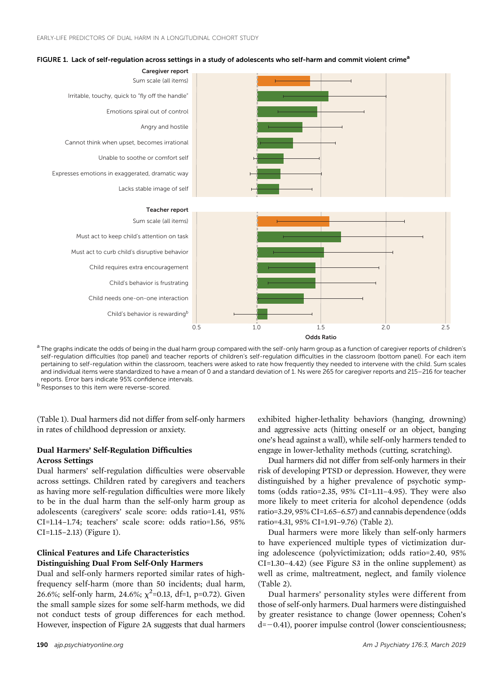#### FIGURE 1. Lack of self-regulation across settings in a study of adolescents who self-harm and commit violent crime<sup>a</sup>



<sup>a</sup> The graphs indicate the odds of being in the dual harm group compared with the self-only harm group as a function of caregiver reports of children's self-regulation difficulties (top panel) and teacher reports of children's self-regulation difficulties in the classroom (bottom panel). For each item pertaining to self-regulation within the classroom, teachers were asked to rate how frequently they needed to intervene with the child. Sum scales and individual items were standardized to have a mean of 0 and a standard deviation of 1. Ns were 265 for caregiver reports and 215–216 for teacher reports. Error bars indicate 95% confidence intervals.

b Responses to this item were reverse-scored.

(Table 1). Dual harmers did not differ from self-only harmers in rates of childhood depression or anxiety.

# Dual Harmers' Self-Regulation Difficulties Across Settings

Dual harmers' self-regulation difficulties were observable across settings. Children rated by caregivers and teachers as having more self-regulation difficulties were more likely to be in the dual harm than the self-only harm group as adolescents (caregivers' scale score: odds ratio=1.41, 95% CI=1.14–1.74; teachers' scale score: odds ratio=1.56, 95% CI=1.15–2.13) (Figure 1).

# Clinical Features and Life Characteristics Distinguishing Dual From Self-Only Harmers

Dual and self-only harmers reported similar rates of highfrequency self-harm (more than 50 incidents; dual harm, 26.6%; self-only harm, 24.6%;  $\chi^2$ =0.13, df=1, p=0.72). Given the small sample sizes for some self-harm methods, we did not conduct tests of group differences for each method. However, inspection of Figure 2A suggests that dual harmers exhibited higher-lethality behaviors (hanging, drowning) and aggressive acts (hitting oneself or an object, banging one's head against a wall), while self-only harmers tended to engage in lower-lethality methods (cutting, scratching).

Dual harmers did not differ from self-only harmers in their risk of developing PTSD or depression. However, they were distinguished by a higher prevalence of psychotic symptoms (odds ratio=2.35, 95% CI=1.11–4.95). They were also more likely to meet criteria for alcohol dependence (odds ratio=3.29, 95% CI=1.65–6.57) and cannabis dependence (odds ratio=4.31, 95% CI=1.91–9.76) (Table 2).

Dual harmers were more likely than self-only harmers to have experienced multiple types of victimization during adolescence (polyvictimization; odds ratio=2.40, 95% CI=1.30–4.42) (see Figure S3 in the online supplement) as well as crime, maltreatment, neglect, and family violence (Table 2).

Dual harmers' personality styles were different from those of self-only harmers. Dual harmers were distinguished by greater resistance to change (lower openness; Cohen's  $d=-0.41$ ), poorer impulse control (lower conscientiousness;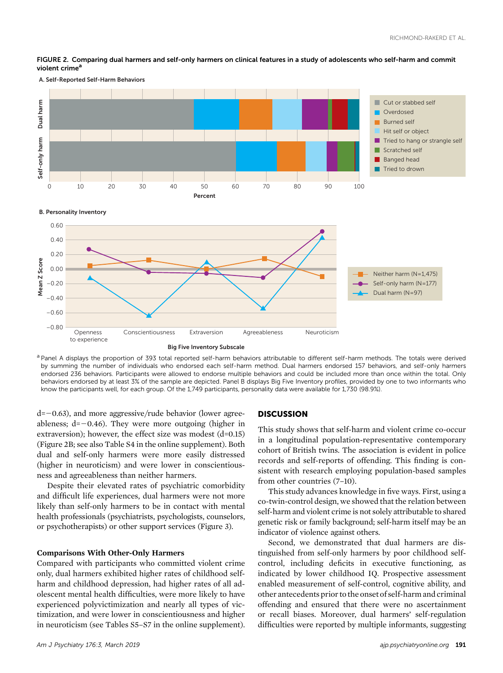### FIGURE 2. Comparing dual harmers and self-only harmers on clinical features in a study of adolescents who self-harm and commit violent crime<sup>a</sup>



a Panel A displays the proportion of 393 total reported self-harm behaviors attributable to different self-harm methods. The totals were derived by summing the number of individuals who endorsed each self-harm method. Dual harmers endorsed 157 behaviors, and self-only harmers endorsed 236 behaviors. Participants were allowed to endorse multiple behaviors and could be included more than once within the total. Only behaviors endorsed by at least 3% of the sample are depicted. Panel B displays Big Five Inventory profiles, provided by one to two informants who know the participants well, for each group. Of the 1,749 participants, personality data were available for 1,730 (98.9%).

 $d=-0.63$ ), and more aggressive/rude behavior (lower agreeableness;  $d=-0.46$ ). They were more outgoing (higher in extraversion); however, the effect size was modest (d=0.15) (Figure 2B; see also Table S4 in the online supplement). Both dual and self-only harmers were more easily distressed (higher in neuroticism) and were lower in conscientiousness and agreeableness than neither harmers.

Despite their elevated rates of psychiatric comorbidity and difficult life experiences, dual harmers were not more likely than self-only harmers to be in contact with mental health professionals (psychiatrists, psychologists, counselors, or psychotherapists) or other support services (Figure 3).

### Comparisons With Other-Only Harmers

Compared with participants who committed violent crime only, dual harmers exhibited higher rates of childhood selfharm and childhood depression, had higher rates of all adolescent mental health difficulties, were more likely to have experienced polyvictimization and nearly all types of victimization, and were lower in conscientiousness and higher in neuroticism (see Tables S5–S7 in the online supplement).

### **DISCUSSION**

This study shows that self-harm and violent crime co-occur in a longitudinal population-representative contemporary cohort of British twins. The association is evident in police records and self-reports of offending. This finding is consistent with research employing population-based samples from other countries (7–10).

This study advances knowledge in five ways. First, using a co-twin-control design, we showed that the relation between self-harm and violent crime is not solely attributable to shared genetic risk or family background; self-harm itself may be an indicator of violence against others.

Second, we demonstrated that dual harmers are distinguished from self-only harmers by poor childhood selfcontrol, including deficits in executive functioning, as indicated by lower childhood IQ. Prospective assessment enabled measurement of self-control, cognitive ability, and other antecedents prior to the onset of self-harm and criminal offending and ensured that there were no ascertainment or recall biases. Moreover, dual harmers' self-regulation difficulties were reported by multiple informants, suggesting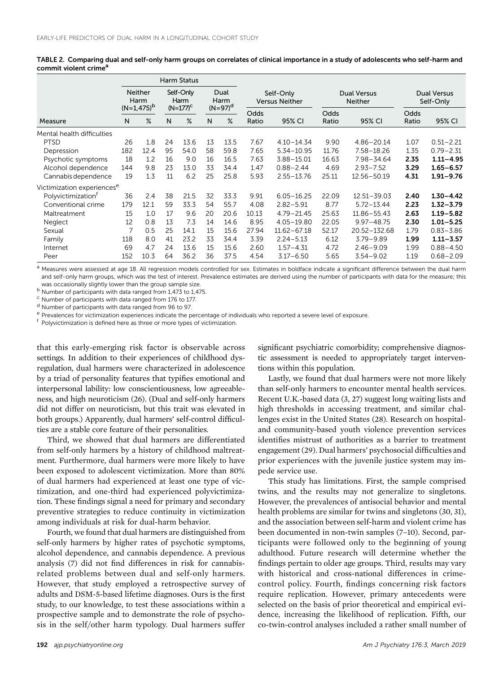Harm Status Neither Harm  $(N=1,475)^b$ Self-Only Harm  $(N=177)^c$ Dual Harm  $(N=97)^d$ Self-Only Versus Neither Dual Versus Neither Dual Versus Self-Only Measure N % N % N % **Odds** Ratio 95% CI **Odds** Ratio 95% CI **Odds** Ratio 95% CI Mental health difficulties PTSD 26 1.8 24 13.6 13 13.5 7.67 4.10–14.34 9.90 4.86–20.14 1.07 0.51–2.21 Depression 182 12.4 95 54.0 58 59.8 7.65 5.34–10.95 11.76 7.58–18.26 1.35 0.79–2.31 Psychotic symptoms 18 1.2 16 9.0 16 16.5 7.63 3.88–15.01 16.63 7.98–34.64 2.35 1.11–4.95 Alcohol dependence 144 9.8 23 13.0 33 34.4 1.47 0.88–2.44 4.69 2.93–7.52 3.29 1.65–6.57 Cannabis dependence 19 1.3 11 6.2 25 25.8 5.93 2.55–13.76 25.11 12.56–50.19 4.31 1.91–9.76 Victimization experiences<sup>e</sup> Polyvictimization<sup>f</sup> 36 2.4 38 21.5 32 33.3 9.91 6.05–16.25 22.09 12.51–39.03 2.40 1.30–4.42 Conventional crime 179 12.1 59 33.3 54 55.7 4.08 2.82–5.91 8.77 5.72–13.44 2.23 1.32–3.79 Maltreatment 15 1.0 17 9.6 20 20.6 10.13 4.79–21.45 25.63 11.86–55.43 2.63 1.19–5.82 Neglect 12 0.8 13 7.3 14 14.6 8.95 4.05–19.80 22.05 9.97–48.75 **2.30 1.01–5.25** Sexual 7 0.5 25 14.1 15 15.6 27.94 11.62–67.18 52.17 20.52–132.68 1.79 0.83–3.86 Family 118 8.0 41 23.2 33 34.4 3.39 2.24–5.13 6.12 3.79–9.89 **1.99 1.11–3.57** Internet 69 4.7 24 13.6 15 15.6 2.60 1.57–4.31 4.72 2.46–9.09 1.99 0.88–4.50 Peer 152 10.3 64 36.2 36 37.5 4.54 3.17–6.50 5.65 3.54–9.02 1.19 0.68–2.09

TABLE 2. Comparing dual and self-only harm groups on correlates of clinical importance in a study of adolescents who self-harm and commit violent crime<sup>a</sup>

<sup>a</sup> Measures were assessed at age 18. All regression models controlled for sex. Estimates in boldface indicate a significant difference between the dual harm and self-only harm groups, which was the test of interest. Prevalence estimates are derived using the number of participants with data for the measure; this was occasionally slightly lower than the group sample size.

<sup>b</sup> Number of participants with data ranged from 1,473 to 1,475.

 $\textdegree$  Number of participants with data ranged from 176 to 177.

<sup>d</sup> Number of participants with data ranged from 96 to 97.

e Prevalences for victimization experiences indicate the percentage of individuals who reported a severe level of exposure.

<sup>f</sup> Polyvictimization is defined here as three or more types of victimization.

that this early-emerging risk factor is observable across settings. In addition to their experiences of childhood dysregulation, dual harmers were characterized in adolescence by a triad of personality features that typifies emotional and interpersonal lability: low conscientiousness, low agreeableness, and high neuroticism (26). (Dual and self-only harmers did not differ on neuroticism, but this trait was elevated in both groups.) Apparently, dual harmers' self-control difficulties are a stable core feature of their personalities.

Third, we showed that dual harmers are differentiated from self-only harmers by a history of childhood maltreatment. Furthermore, dual harmers were more likely to have been exposed to adolescent victimization. More than 80% of dual harmers had experienced at least one type of victimization, and one-third had experienced polyvictimization. These findings signal a need for primary and secondary preventive strategies to reduce continuity in victimization among individuals at risk for dual-harm behavior.

Fourth, we found that dual harmers are distinguished from self-only harmers by higher rates of psychotic symptoms, alcohol dependence, and cannabis dependence. A previous analysis (7) did not find differences in risk for cannabisrelated problems between dual and self-only harmers. However, that study employed a retrospective survey of adults and DSM-5-based lifetime diagnoses. Ours is the first study, to our knowledge, to test these associations within a prospective sample and to demonstrate the role of psychosis in the self/other harm typology. Dual harmers suffer

significant psychiatric comorbidity; comprehensive diagnostic assessment is needed to appropriately target interventions within this population.

Lastly, we found that dual harmers were not more likely than self-only harmers to encounter mental health services. Recent U.K.-based data (3, 27) suggest long waiting lists and high thresholds in accessing treatment, and similar challenges exist in the United States (28). Research on hospitaland community-based youth violence prevention services identifies mistrust of authorities as a barrier to treatment engagement (29). Dual harmers' psychosocial difficulties and prior experiences with the juvenile justice system may impede service use.

This study has limitations. First, the sample comprised twins, and the results may not generalize to singletons. However, the prevalences of antisocial behavior and mental health problems are similar for twins and singletons (30, 31), and the association between self-harm and violent crime has been documented in non-twin samples (7–10). Second, participants were followed only to the beginning of young adulthood. Future research will determine whether the findings pertain to older age groups. Third, results may vary with historical and cross-national differences in crimecontrol policy. Fourth, findings concerning risk factors require replication. However, primary antecedents were selected on the basis of prior theoretical and empirical evidence, increasing the likelihood of replication. Fifth, our co-twin-control analyses included a rather small number of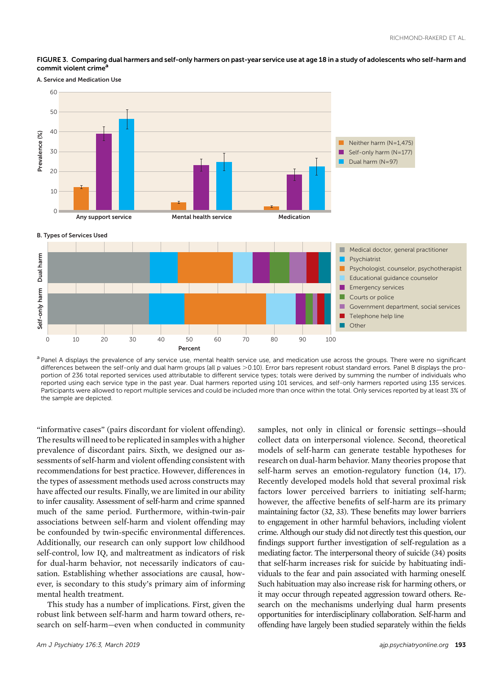## FIGURE 3. Comparing dual harmers and self-only harmers on past-year service use at age 18 in a study of adolescents who self-harm and commit violent crime<sup>a</sup>



<sup>a</sup> Panel A displays the prevalence of any service use, mental health service use, and medication use across the groups. There were no significant differences between the self-only and dual harm groups (all p values >0.10). Error bars represent robust standard errors. Panel B displays the proportion of 236 total reported services used attributable to different service types; totals were derived by summing the number of individuals who reported using each service type in the past year. Dual harmers reported using 101 services, and self-only harmers reported using 135 services. Participants were allowed to report multiple services and could be included more than once within the total. Only services reported by at least 3% of the sample are depicted.

"informative cases" (pairs discordant for violent offending). The results will need to be replicated in samples with a higher prevalence of discordant pairs. Sixth, we designed our assessments of self-harm and violent offending consistent with recommendations for best practice. However, differences in the types of assessment methods used across constructs may have affected our results. Finally, we are limited in our ability to infer causality. Assessment of self-harm and crime spanned much of the same period. Furthermore, within-twin-pair associations between self-harm and violent offending may be confounded by twin-specific environmental differences. Additionally, our research can only support low childhood self-control, low IQ, and maltreatment as indicators of risk for dual-harm behavior, not necessarily indicators of causation. Establishing whether associations are causal, however, is secondary to this study's primary aim of informing mental health treatment.

This study has a number of implications. First, given the robust link between self-harm and harm toward others, research on self-harm—even when conducted in community

samples, not only in clinical or forensic settings—should collect data on interpersonal violence. Second, theoretical models of self-harm can generate testable hypotheses for research on dual-harm behavior. Many theories propose that self-harm serves an emotion-regulatory function (14, 17). Recently developed models hold that several proximal risk factors lower perceived barriers to initiating self-harm; however, the affective benefits of self-harm are its primary maintaining factor (32, 33). These benefits may lower barriers to engagement in other harmful behaviors, including violent crime. Although our study did not directly test this question, our findings support further investigation of self-regulation as a mediating factor. The interpersonal theory of suicide (34) posits that self-harm increases risk for suicide by habituating individuals to the fear and pain associated with harming oneself. Such habituation may also increase risk for harming others, or it may occur through repeated aggression toward others. Research on the mechanisms underlying dual harm presents opportunities for interdisciplinary collaboration. Self-harm and offending have largely been studied separately within the fields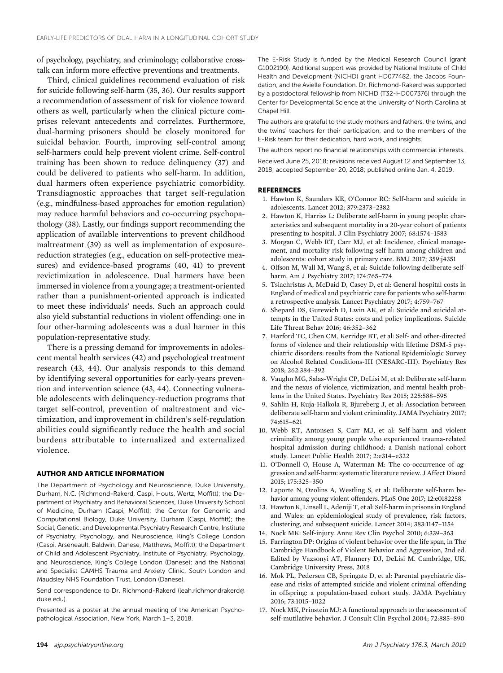of psychology, psychiatry, and criminology; collaborative crosstalk can inform more effective preventions and treatments.

Third, clinical guidelines recommend evaluation of risk for suicide following self-harm (35, 36). Our results support a recommendation of assessment of risk for violence toward others as well, particularly when the clinical picture comprises relevant antecedents and correlates. Furthermore, dual-harming prisoners should be closely monitored for suicidal behavior. Fourth, improving self-control among self-harmers could help prevent violent crime. Self-control training has been shown to reduce delinquency (37) and could be delivered to patients who self-harm. In addition, dual harmers often experience psychiatric comorbidity. Transdiagnostic approaches that target self-regulation (e.g., mindfulness-based approaches for emotion regulation) may reduce harmful behaviors and co-occurring psychopathology (38). Lastly, our findings support recommending the application of available interventions to prevent childhood maltreatment (39) as well as implementation of exposurereduction strategies (e.g., education on self-protective measures) and evidence-based programs (40, 41) to prevent revictimization in adolescence. Dual harmers have been immersed in violence from a young age; a treatment-oriented rather than a punishment-oriented approach is indicated to meet these individuals' needs. Such an approach could also yield substantial reductions in violent offending: one in four other-harming adolescents was a dual harmer in this population-representative study.

There is a pressing demand for improvements in adolescent mental health services (42) and psychological treatment research (43, 44). Our analysis responds to this demand by identifying several opportunities for early-years prevention and intervention science (43, 44). Connecting vulnerable adolescents with delinquency-reduction programs that target self-control, prevention of maltreatment and victimization, and improvement in children's self-regulation abilities could significantly reduce the health and social burdens attributable to internalized and externalized violence.

### AUTHOR AND ARTICLE INFORMATION

The Department of Psychology and Neuroscience, Duke University, Durham, N.C. (Richmond-Rakerd, Caspi, Houts, Wertz, Moffitt); the Department of Psychiatry and Behavioral Sciences, Duke University School of Medicine, Durham (Caspi, Moffitt); the Center for Genomic and Computational Biology, Duke University, Durham (Caspi, Moffitt); the Social, Genetic, and Developmental Psychiatry Research Centre, Institute of Psychiatry, Psychology, and Neuroscience, King's College London (Caspi, Arseneault, Baldwin, Danese, Matthews, Moffitt); the Department of Child and Adolescent Psychiatry, Institute of Psychiatry, Psychology, and Neuroscience, King's College London (Danese); and the National and Specialist CAMHS Trauma and Anxiety Clinic, South London and Maudsley NHS Foundation Trust, London (Danese).

Send correspondence to Dr. Richmond-Rakerd ([leah.richmondrakerd@](mailto:leah.richmondrakerd@duke.edu) [duke.edu](mailto:leah.richmondrakerd@duke.edu)).

Presented as a poster at the annual meeting of the American Psychopathological Association, New York, March 1–3, 2018.

The E-Risk Study is funded by the Medical Research Council (grant G1002190). Additional support was provided by National Institute of Child Health and Development (NICHD) grant HD077482, the Jacobs Foundation, and the Avielle Foundation. Dr. Richmond-Rakerd was supported by a postdoctoral fellowship from NICHD (T32-HD007376) through the Center for Developmental Science at the University of North Carolina at Chapel Hill.

The authors are grateful to the study mothers and fathers, the twins, and the twins' teachers for their participation, and to the members of the E-Risk team for their dedication, hard work, and insights.

The authors report no financial relationships with commercial interests. Received June 25, 2018; revisions received August 12 and September 13, 2018; accepted September 20, 2018; published online Jan. 4, 2019.

#### **REFERENCES**

- 1. Hawton K, Saunders KE, O'Connor RC: Self-harm and suicide in adolescents. Lancet 2012; 379:2373–2382
- 2. Hawton K, Harriss L: Deliberate self-harm in young people: characteristics and subsequent mortality in a 20-year cohort of patients presenting to hospital. J Clin Psychiatry 2007; 68:1574–1583
- 3. Morgan C, Webb RT, Carr MJ, et al: Incidence, clinical management, and mortality risk following self harm among children and adolescents: cohort study in primary care. BMJ 2017; 359:j4351
- 4. Olfson M, Wall M, Wang S, et al: Suicide following deliberate selfharm. Am J Psychiatry 2017; 174:765–774
- 5. Tsiachristas A, McDaid D, Casey D, et al: General hospital costs in England of medical and psychiatric care for patients who self-harm: a retrospective analysis. Lancet Psychiatry 2017; 4:759–767
- 6. Shepard DS, Gurewich D, Lwin AK, et al: Suicide and suicidal attempts in the United States: costs and policy implications. Suicide Life Threat Behav 2016; 46:352–362
- 7. Harford TC, Chen CM, Kerridge BT, et al: Self- and other-directed forms of violence and their relationship with lifetime DSM-5 psychiatric disorders: results from the National Epidemiologic Survey on Alcohol Related Conditions-III (NESARC-III). Psychiatry Res 2018; 262:384–392
- 8. Vaughn MG, Salas-Wright CP, DeLisi M, et al: Deliberate self-harm and the nexus of violence, victimization, and mental health problems in the United States. Psychiatry Res 2015; 225:588–595
- 9. Sahlin H, Kuja-Halkola R, Bjureberg J, et al: Association between deliberate self-harm and violent criminality. JAMA Psychiatry 2017; 74:615–621
- 10. Webb RT, Antonsen S, Carr MJ, et al: Self-harm and violent criminality among young people who experienced trauma-related hospital admission during childhood: a Danish national cohort study. Lancet Public Health 2017; 2:e314–e322
- 11. O'Donnell O, House A, Waterman M: The co-occurrence of aggression and self-harm: systematic literature review. J Affect Disord 2015; 175:325–350
- 12. Laporte N, Ozolins A, Westling S, et al: Deliberate self-harm behavior among young violent offenders. PLoS One 2017; 12:e0182258
- 13. Hawton K, Linsell L, Adeniji T, et al: Self-harm in prisons in England and Wales: an epidemiological study of prevalence, risk factors, clustering, and subsequent suicide. Lancet 2014; 383:1147–1154
- 14. Nock MK: Self-injury. Annu Rev Clin Psychol 2010; 6:339–363
- 15. Farrington DP: Origins of violent behavior over the life span, in The Cambridge Handbook of Violent Behavior and Aggression, 2nd ed. Edited by Vazsonyi AT, Flannery DJ, DeLisi M. Cambridge, UK, Cambridge University Press, 2018
- 16. Mok PL, Pedersen CB, Springate D, et al: Parental psychiatric disease and risks of attempted suicide and violent criminal offending in offspring: a population-based cohort study. JAMA Psychiatry 2016; 73:1015–1022
- 17. Nock MK, Prinstein MJ: A functional approach to the assessment of self-mutilative behavior. J Consult Clin Psychol 2004; 72:885–890